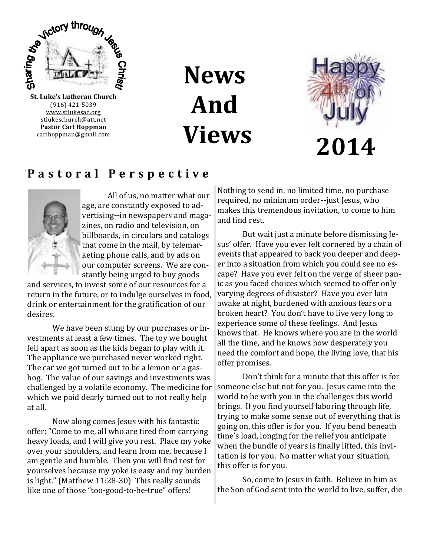

(916) 421-5039 [www.stlukesac.org](http://www.luther95.net/SLLC-SCA) stlukeschurch@att.net **Pastor Carl Hoppman** carlhoppman@gmail.com

**News And Views**



## **P a s t o r a l P e r s p e c t i v e**



All of us, no matter what our age, are constantly exposed to advertising--in newspapers and magazines, on radio and television, on billboards, in circulars and catalogs that come in the mail, by telemarketing phone calls, and by ads on our computer screens. We are constantly being urged to buy goods

and services, to invest some of our resources for a return in the future, or to indulge ourselves in food, drink or entertainment for the gratification of our desires.

We have been stung by our purchases or investments at least a few times. The toy we bought fell apart as soon as the kids began to play with it. The appliance we purchased never worked right. The car we got turned out to be a lemon or a gashog. The value of our savings and investments was challenged by a volatile economy. The medicine for which we paid dearly turned out to not really help at all.

Now along comes Jesus with his fantastic offer: "Come to me, all who are tired from carrying heavy loads, and I will give you rest. Place my yoke over your shoulders, and learn from me, because I am gentle and humble. Then you will find rest for yourselves because my yoke is easy and my burden is light." (Matthew 11:28-30) This really sounds like one of those "too-good-to-be-true" offers!

Nothing to send in, no limited time, no purchase required, no minimum order--just Jesus, who makes this tremendous invitation, to come to him and find rest.

But wait just a minute before dismissing Jesus' offer. Have you ever felt cornered by a chain of events that appeared to back you deeper and deeper into a situation from which you could see no escape? Have you ever felt on the verge of sheer panic as you faced choices which seemed to offer only varying degrees of disaster? Have you ever lain awake at night, burdened with anxious fears or a broken heart? You don't have to live very long to experience some of these feelings. And Jesus knows that. He knows where you are in the world all the time, and he knows how desperately you need the comfort and hope, the living love, that his offer promises.

Don't think for a minute that this offer is for someone else but not for you. Jesus came into the world to be with you in the challenges this world brings. If you find yourself laboring through life, trying to make some sense out of everything that is going on, this offer is for you. If you bend beneath time's load, longing for the relief you anticipate when the bundle of years is finally lifted, this invitation is for you. No matter what your situation, this offer is for you.

So, come to Jesus in faith. Believe in him as the Son of God sent into the world to live, suffer, die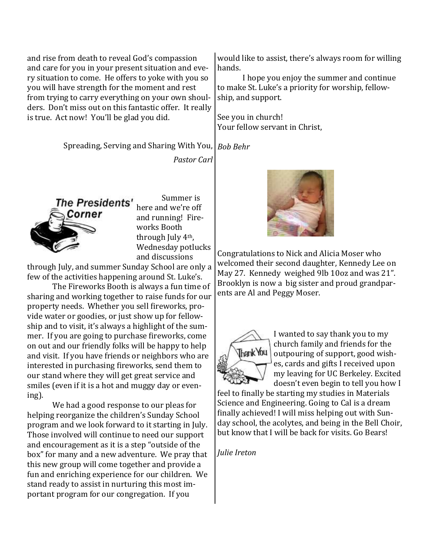and rise from death to reveal God's compassion and care for you in your present situation and every situation to come. He offers to yoke with you so you will have strength for the moment and rest from trying to carry everything on your own shoulders. Don't miss out on this fantastic offer. It really is true. Act now! You'll be glad you did.

> Spreading, Serving and Sharing With You, *Bob Behr*

> > *Pastor Carl*

The Presidents' Corner

Summer is here and we're off and running! Fireworks Booth through July 4th, Wednesday potlucks and discussions

through July, and summer Sunday School are only a few of the activities happening around St. Luke's.

The Fireworks Booth is always a fun time of sharing and working together to raise funds for our property needs. Whether you sell fireworks, provide water or goodies, or just show up for fellowship and to visit, it's always a highlight of the summer. If you are going to purchase fireworks, come on out and our friendly folks will be happy to help and visit. If you have friends or neighbors who are interested in purchasing fireworks, send them to our stand where they will get great service and smiles (even if it is a hot and muggy day or evening).

We had a good response to our pleas for helping reorganize the children's Sunday School program and we look forward to it starting in July. Those involved will continue to need our support and encouragement as it is a step "outside of the box" for many and a new adventure. We pray that this new group will come together and provide a fun and enriching experience for our children. We stand ready to assist in nurturing this most important program for our congregation. If you

would like to assist, there's always room for willing hands.

I hope you enjoy the summer and continue to make St. Luke's a priority for worship, fellowship, and support.

See you in church! Your fellow servant in Christ,



Congratulations to Nick and Alicia Moser who welcomed their second daughter, Kennedy Lee on May 27. Kennedy weighed 9lb 10oz and was 21". Brooklyn is now a big sister and proud grandparents are Al and Peggy Moser.



I wanted to say thank you to my church family and friends for the outpouring of support, good wishes, cards and gifts I received upon my leaving for UC Berkeley. Excited doesn't even begin to tell you how I

feel to finally be starting my studies in Materials Science and Engineering. Going to Cal is a dream finally achieved! I will miss helping out with Sunday school, the acolytes, and being in the Bell Choir, but know that I will be back for visits. Go Bears!

*Julie Ireton*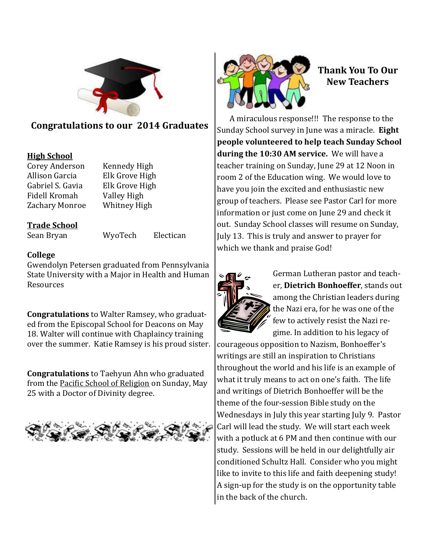

## **Congratulations to our 2014 Graduates**

## **High School**

Corey Anderson Kennedy High Allison Garcia Elk Grove High Gabriel S. Gavia Elk Grove High Fidell Kromah Valley High Zachary Monroe Whitney High

## **Trade School**

Sean Bryan WyoTech Electican

### **College**

Gwendolyn Petersen graduated from Pennsylvania State University with a Major in Health and Human Resources

**Congratulations** to Walter Ramsey, who graduated from the Episcopal School for Deacons on May 18. Walter will continue with Chaplaincy training over the summer. Katie Ramsey is his proud sister.

**Congratulations** to Taehyun Ahn who graduated from the Pacific School of Religion on Sunday, May 25 with a Doctor of Divinity degree.





## **Thank You To Our New Teachers**

A miraculous response!!! The response to the Sunday School survey in June was a miracle. **Eight people volunteered to help teach Sunday School during the 10:30 AM service.** We will have a teacher training on Sunday, June 29 at 12 Noon in room 2 of the Education wing. We would love to have you join the excited and enthusiastic new group of teachers. Please see Pastor Carl for more information or just come on June 29 and check it out. Sunday School classes will resume on Sunday, July 13. This is truly and answer to prayer for which we thank and praise God!



German Lutheran pastor and teacher, **Dietrich Bonhoeffer**, stands out among the Christian leaders during the Nazi era, for he was one of the few to actively resist the Nazi regime. In addition to his legacy of

courageous opposition to Nazism, Bonhoeffer's writings are still an inspiration to Christians throughout the world and his life is an example of what it truly means to act on one's faith. The life and writings of Dietrich Bonhoeffer will be the theme of the four-session Bible study on the Wednesdays in July this year starting July 9. Pastor Carl will lead the study. We will start each week with a potluck at 6 PM and then continue with our study. Sessions will be held in our delightfully air conditioned Schultz Hall. Consider who you might like to invite to this life and faith deepening study! A sign-up for the study is on the opportunity table in the back of the church.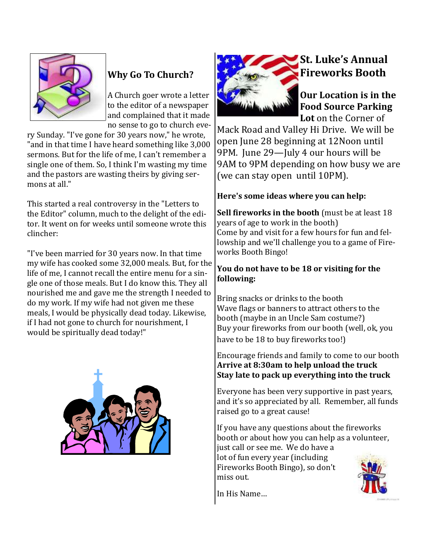

## **Why Go To Church?**

A Church goer wrote a letter to the editor of a newspaper and complained that it made no sense to go to church eve-

ry Sunday. "I've gone for 30 years now," he wrote, "and in that time I have heard something like 3,000 sermons. But for the life of me, I can't remember a single one of them. So, I think I'm wasting my time and the pastors are wasting theirs by giving sermons at all."

This started a real controversy in the "Letters to the Editor" column, much to the delight of the editor. It went on for weeks until someone wrote this clincher:

"I've been married for 30 years now. In that time my wife has cooked some 32,000 meals. But, for the life of me, I cannot recall the entire menu for a single one of those meals. But I do know this. They all nourished me and gave me the strength I needed to do my work. If my wife had not given me these meals, I would be physically dead today. Likewise, if I had not gone to church for nourishment, I would be spiritually dead today!"





## **St. Luke's Annual Fireworks Booth**

**Our Location is in the Food Source Parking Lot** on the Corner of

Mack Road and Valley Hi Drive. We will be open June 28 beginning at 12Noon until 9PM. June 29—July 4 our hours will be 9AM to 9PM depending on how busy we are (we can stay open until 10PM).

## **Here's some ideas where you can help:**

**Sell fireworks in the booth** (must be at least 18 years of age to work in the booth) Come by and visit for a few hours for fun and fellowship and we'll challenge you to a game of Fireworks Booth Bingo!

## **You do not have to be 18 or visiting for the following:**

Bring snacks or drinks to the booth Wave flags or banners to attract others to the booth (maybe in an Uncle Sam costume?) Buy your fireworks from our booth (well, ok, you have to be 18 to buy fireworks too!)

Encourage friends and family to come to our booth **Arrive at 8:30am to help unload the truck Stay late to pack up everything into the truck**

Everyone has been very supportive in past years, and it's so appreciated by all. Remember, all funds raised go to a great cause!

If you have any questions about the fireworks booth or about how you can help as a volunteer, just call or see me. We do have a lot of fun every year (including Fireworks Booth Bingo), so don't miss out.



In His Name…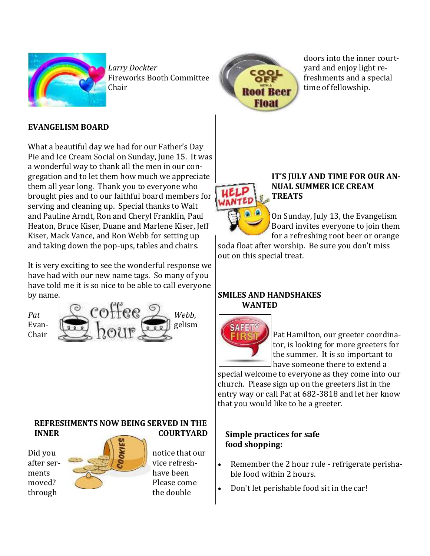

*Larry Dockter* Fireworks Booth Committee Chair



doors into the inner courtyard and enjoy light refreshments and a special time of fellowship.

## **EVANGELISM BOARD**

What a beautiful day we had for our Father's Day Pie and Ice Cream Social on Sunday, June 15. It was a wonderful way to thank all the men in our congregation and to let them how much we appreciate them all year long. Thank you to everyone who brought pies and to our faithful board members for serving and cleaning up. Special thanks to Walt and Pauline Arndt, Ron and Cheryl Franklin, Paul Heaton, Bruce Kiser, Duane and Marlene Kiser, Jeff Kiser, Mack Vance, and Ron Webb for setting up and taking down the pop-ups, tables and chairs.

It is very exciting to see the wonderful response we have had with our new name tags. So many of you have told me it is so nice to be able to call everyone by name.

Chair



**REFRESHMENTS NOW BEING SERVED IN THE INNER** COURTYARD



#### **IT'S JULY AND TIME FOR OUR AN-NUAL SUMMER ICE CREAM TREATS**

On Sunday, July 13, the Evangelism Board invites everyone to join them for a refreshing root beer or orange

soda float after worship. Be sure you don't miss out on this special treat.

## **SMILES AND HANDSHAKES WANTED**



Pat Hamilton, our greeter coordinator, is looking for more greeters for the summer. It is so important to have someone there to extend a

special welcome to everyone as they come into our church. Please sign up on the greeters list in the entry way or call Pat at 682-3818 and let her know that you would like to be a greeter.

## **Simple practices for safe food shopping:**

- Remember the 2 hour rule refrigerate perishable food within 2 hours.
- Don't let perishable food sit in the car!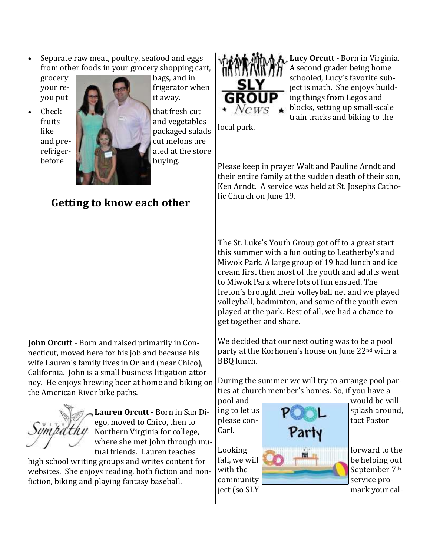Separate raw meat, poultry, seafood and eggs from other foods in your grocery shopping cart,



grocery bags, and in your re-  $\blacksquare$  frigerator when

## **Getting to know each other**

**John Orcutt** - Born and raised primarily in Connecticut, moved here for his job and because his wife Lauren's family lives in Orland (near Chico), California. John is a small business litigation attorney. He enjoys brewing beer at home and biking on the American River bike paths.

**Lauren Orcutt** - Born in San Diego, moved to Chico, then to Northern Virginia for college, where she met John through mutual friends. Lauren teaches

high school writing groups and writes content for websites. She enjoys reading, both fiction and nonfiction, biking and playing fantasy baseball.



**Lucy Orcutt** - Born in Virginia. A second grader being home schooled, Lucy's favorite subject is math. She enjoys building things from Legos and blocks, setting up small-scale train tracks and biking to the

local park.

Please keep in prayer Walt and Pauline Arndt and their entire family at the sudden death of their son, Ken Arndt. A service was held at St. Josephs Catholic Church on June 19.

The St. Luke's Youth Group got off to a great start this summer with a fun outing to Leatherby's and Miwok Park. A large group of 19 had lunch and ice cream first then most of the youth and adults went to Miwok Park where lots of fun ensued. The Ireton's brought their volleyball net and we played volleyball, badminton, and some of the youth even played at the park. Best of all, we had a chance to get together and share.

We decided that our next outing was to be a pool party at the Korhonen's house on June 22nd with a BBQ lunch.

During the summer we will try to arrange pool parties at church member's homes. So, if you have a

Carl.



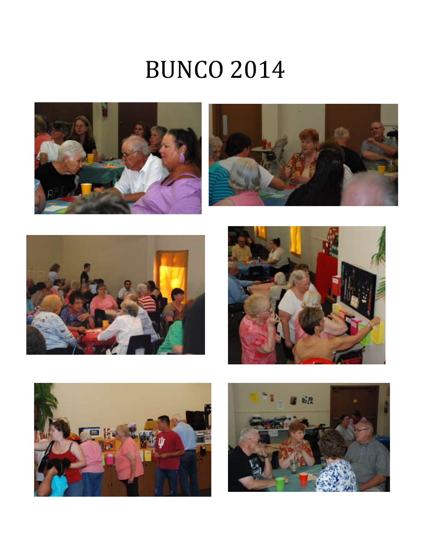# BUNCO 2014











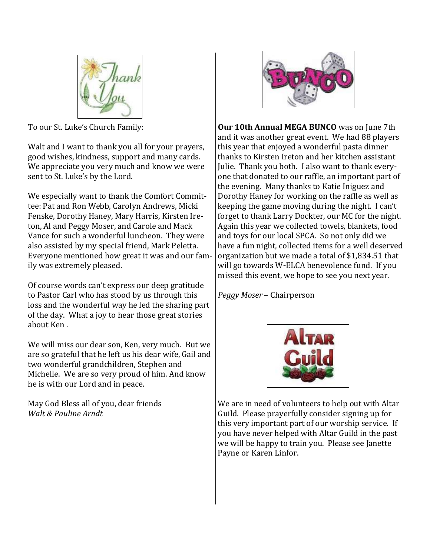

To our St. Luke's Church Family:

Walt and I want to thank you all for your prayers, good wishes, kindness, support and many cards. We appreciate you very much and know we were sent to St. Luke's by the Lord.

We especially want to thank the Comfort Committee: Pat and Ron Webb, Carolyn Andrews, Micki Fenske, Dorothy Haney, Mary Harris, Kirsten Ireton, Al and Peggy Moser, and Carole and Mack Vance for such a wonderful luncheon. They were also assisted by my special friend, Mark Peletta. Everyone mentioned how great it was and our family was extremely pleased.

Of course words can't express our deep gratitude to Pastor Carl who has stood by us through this loss and the wonderful way he led the sharing part of the day. What a joy to hear those great stories about Ken .

We will miss our dear son, Ken, very much. But we are so grateful that he left us his dear wife, Gail and two wonderful grandchildren, Stephen and Michelle. We are so very proud of him. And know he is with our Lord and in peace.

May God Bless all of you, dear friends *Walt & Pauline Arndt*



**Our 10th Annual MEGA BUNCO** was on June 7th and it was another great event. We had 88 players this year that enjoyed a wonderful pasta dinner thanks to Kirsten Ireton and her kitchen assistant Julie. Thank you both. I also want to thank everyone that donated to our raffle, an important part of the evening. Many thanks to Katie Iniguez and Dorothy Haney for working on the raffle as well as keeping the game moving during the night. I can't forget to thank Larry Dockter, our MC for the night. Again this year we collected towels, blankets, food and toys for our local SPCA. So not only did we have a fun night, collected items for a well deserved organization but we made a total of \$1,834.51 that will go towards W-ELCA benevolence fund. If you missed this event, we hope to see you next year.

*Peggy Moser* – Chairperson



We are in need of volunteers to help out with Altar Guild. Please prayerfully consider signing up for this very important part of our worship service. If you have never helped with Altar Guild in the past we will be happy to train you. Please see Janette Payne or Karen Linfor.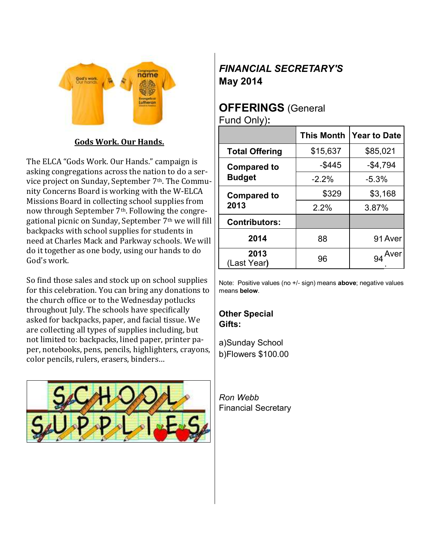

## **Gods Work. Our Hands.**

The ELCA "Gods Work. Our Hands." campaign is asking congregations across the nation to do a service project on Sunday, September 7th. The Community Concerns Board is working with the W-ELCA Missions Board in collecting school supplies from now through September 7th. Following the congregational picnic on Sunday, September 7th we will fill backpacks with school supplies for students in need at Charles Mack and Parkway schools. We will do it together as one body, using our hands to do God's work.

So find those sales and stock up on school supplies for this celebration. You can bring any donations to the church office or to the Wednesday potlucks throughout July. The schools have specifically asked for backpacks, paper, and facial tissue. We are collecting all types of supplies including, but not limited to: backpacks, lined paper, printer paper, notebooks, pens, pencils, highlighters, crayons, color pencils, rulers, erasers, binders…



## *FINANCIAL SECRETARY'S*  **May 2014**

## **OFFERINGS** (General Fund Only)**:**

|                                     | <b>This Month</b> | <b>Year to Date</b> |
|-------------------------------------|-------------------|---------------------|
| <b>Total Offering</b>               | \$15,637          | \$85,021            |
| <b>Compared to</b><br><b>Budget</b> | -\$445            | $-$4,794$           |
|                                     | $-2.2%$           | $-5.3%$             |
| <b>Compared to</b><br>2013          | \$329             | \$3,168             |
|                                     | 2.2%              | 3.87%               |
| <b>Contributors:</b>                |                   |                     |
| 2014                                | 88                | 91 Aver             |
| 2013<br>(Last Year)                 | 96                | Aver                |

Note: Positive values (no +/- sign) means **above**; negative values means **below**.

**Other Special Gifts:**

a)Sunday School b)Flowers \$100.00

*Ron Webb* Financial Secretary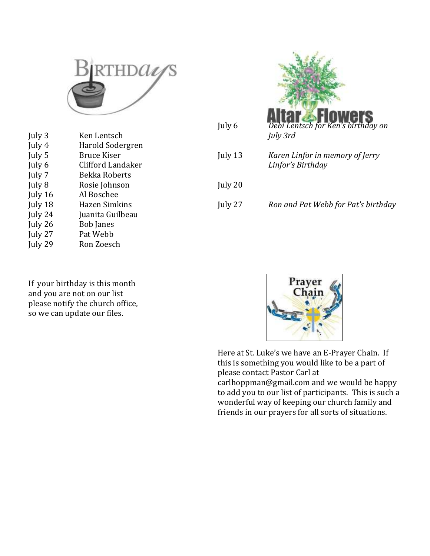

| July 3  | Ken Lentsch       |
|---------|-------------------|
| July 4  | Harold Sodergren  |
| July 5  | Bruce Kiser       |
| July 6  | Clifford Landaker |
| July 7  | Bekka Roberts     |
| July 8  | Rosie Johnson     |
| July 16 | Al Boschee        |
| July 18 | Hazen Simkins     |
| July 24 | Juanita Guilbeau  |
| July 26 | <b>Bob Janes</b>  |
| July 27 | Pat Webb          |
| July 29 | Ron Zoesch        |
|         |                   |

July 6 *Debi Lentsch for Ken's birthday on July 3rd* July 13 *Karen Linfor in memory of Jerry Linfor's Birthday* July 20 July 27 *Ron and Pat Webb for Pat's birthday*

If your birthday is this month and you are not on our list please notify the church office, so we can update our files.



Here at St. Luke's we have an E-Prayer Chain. If this is something you would like to be a part of please contact Pastor Carl at carlhoppman@gmail.com and we would be happy to add you to our list of participants. This is such a wonderful way of keeping our church family and friends in our prayers for all sorts of situations.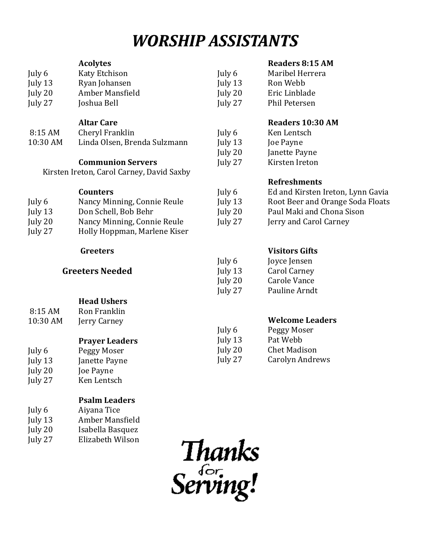## *WORSHIP ASSISTANTS*

#### **Acolytes**

### **Readers 8:15 AM**

| July 6  | Katy Etchison   | July 6    | Maribel Herrera      |
|---------|-----------------|-----------|----------------------|
| July 13 | Ryan Johansen   | July $13$ | Ron Webb             |
| July 20 | Amber Mansfield | July 20   | Eric Linblade        |
| July 27 | Joshua Bell     | July 27   | <b>Phil Petersen</b> |

### **Altar Care**

| 8:15 AM  | Cheryl Franklin              |
|----------|------------------------------|
| 10:30 AM | Linda Olsen, Brenda Sulzmann |

## **Communion Servers**

Kirsten Ireton, Carol Carney, David Saxby

#### **Counters**

| July 6    | Nancy Minning, Connie Reule  |
|-----------|------------------------------|
| July $13$ | Don Schell, Bob Behr         |
| July 20   | Nancy Minning, Connie Reule  |
| July 27   | Holly Hoppman, Marlene Kiser |

#### **Greeters**

## **Greeters Needed**

| 8:15 AM<br>$10:30$ AM | <b>Head Ushers</b><br>Ron Franklin<br>Jerry Carney |
|-----------------------|----------------------------------------------------|
|                       | <b>Prayer Leaders</b>                              |
| July 6                | Peggy Moser                                        |
| July 13               | Janette Payne                                      |
| July 20               | Joe Payne                                          |
| July 27               | Ken Lentsch                                        |

### **Psalm Leaders**

| July 6  | Aiyana Tice      |
|---------|------------------|
| July 13 | Amber Mansfield  |
| July 20 | Isabella Basquez |
| July 27 | Elizabeth Wilson |

## **Readers 10:30 AM**

| July 6  | Ken Lentsch    |
|---------|----------------|
| July 13 | Joe Payne      |
| July 20 | Janette Payne  |
| July 27 | Kirsten Ireton |

## **Refreshments**

| Ed and Kirsten Ireton, Lynn Gavia |
|-----------------------------------|
| Root Beer and Orange Soda Floats  |
| Paul Maki and Chona Sison         |
| Jerry and Carol Carney            |
|                                   |

## **Visitors Gifts**

| July 6  | Joyce Jensen        |
|---------|---------------------|
| July 13 | Carol Carney        |
| July 20 | <b>Carole Vance</b> |
| July 27 | Pauline Arndt       |

## **Welcome Leaders**

| Peggy Moser         |
|---------------------|
| Pat Webb            |
| <b>Chet Madison</b> |
| Carolyn Andrews     |
|                     |